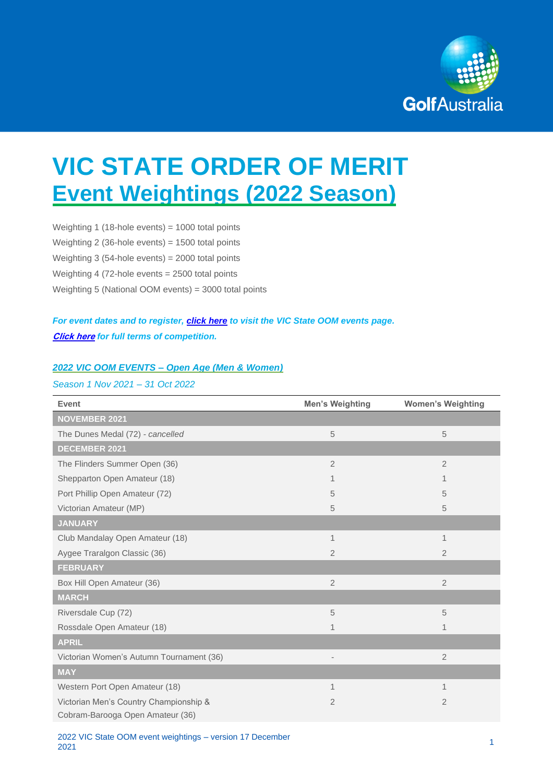

# **VIC STATE ORDER OF MERIT Event Weightings (2022 Season)**

Weighting 1 (18-hole events) = 1000 total points Weighting 2 (36-hole events) = 1500 total points Weighting 3 (54-hole events) = 2000 total points Weighting 4 (72-hole events = 2500 total points Weighting 5 (National OOM events) = 3000 total points

## *For event dates and to register, [click here](https://www.golf.org.au/events#/customer/1090/schedule/2021/10666) to visit the VIC State OOM events page.* **[Click here](https://assets.ctfassets.net/3urhge2ecl20/2jf2QnevfgLSCOKukJbtjV/cfcd868bd1ead9a76bd15c34df663038/TERMS_-_2022_GA_State_Orders_of_Merit.pdf)** *for full terms of competition.*

#### *2022 VIC OOM EVENTS – Open Age (Men & Women)*

#### *Season 1 Nov 2021 – 31 Oct 2022*

| <b>Event</b>                             | <b>Men's Weighting</b>   | <b>Women's Weighting</b> |
|------------------------------------------|--------------------------|--------------------------|
| <b>NOVEMBER 2021</b>                     |                          |                          |
| The Dunes Medal (72) - cancelled         | 5                        | 5                        |
| DECEMBER 2021                            |                          |                          |
| The Flinders Summer Open (36)            | $\overline{2}$           | $\overline{2}$           |
| Shepparton Open Amateur (18)             | 1                        |                          |
| Port Phillip Open Amateur (72)           | 5                        | 5                        |
| Victorian Amateur (MP)                   | 5                        | 5                        |
| <b>JANUARY</b>                           |                          |                          |
| Club Mandalay Open Amateur (18)          | 1                        | 1                        |
| Aygee Traralgon Classic (36)             | $\overline{2}$           | $\overline{2}$           |
| <b>FEBRUARY</b>                          |                          |                          |
| Box Hill Open Amateur (36)               | 2                        | $\overline{2}$           |
| <b>MARCH</b>                             |                          |                          |
| Riversdale Cup (72)                      | 5                        | 5                        |
| Rossdale Open Amateur (18)               | $\overline{1}$           | 1                        |
| <b>APRIL</b>                             |                          |                          |
| Victorian Women's Autumn Tournament (36) | $\overline{\phantom{a}}$ | $\overline{2}$           |
| <b>MAY</b>                               |                          |                          |
| Western Port Open Amateur (18)           | 1                        | 1                        |
| Victorian Men's Country Championship &   | $\overline{2}$           | $\overline{2}$           |
| Cobram-Barooga Open Amateur (36)         |                          |                          |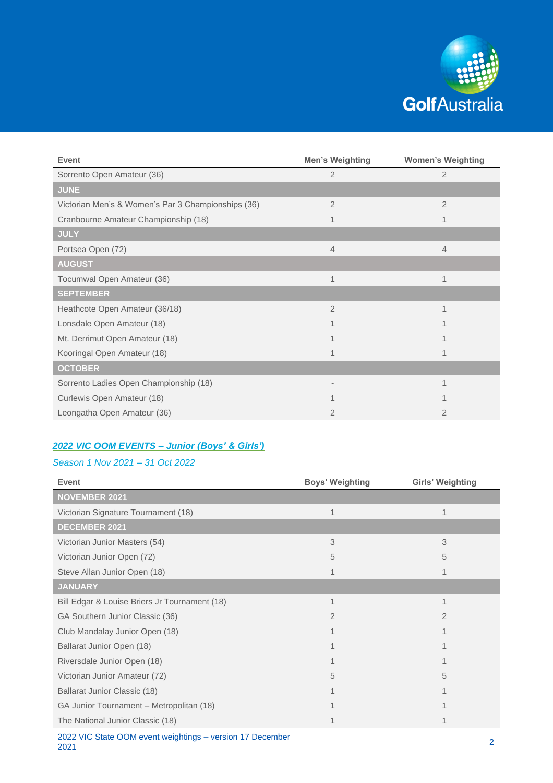

| <b>Event</b>                                       | <b>Men's Weighting</b> | <b>Women's Weighting</b> |
|----------------------------------------------------|------------------------|--------------------------|
| Sorrento Open Amateur (36)                         | $\overline{2}$         | $\overline{2}$           |
| <b>JUNE</b>                                        |                        |                          |
| Victorian Men's & Women's Par 3 Championships (36) | $\overline{2}$         | $\overline{2}$           |
| Cranbourne Amateur Championship (18)               | 1                      |                          |
| <b>JULY</b>                                        |                        |                          |
| Portsea Open (72)                                  | $\overline{4}$         | $\overline{4}$           |
| <b>AUGUST</b>                                      |                        |                          |
| Tocumwal Open Amateur (36)                         | 1                      | 1                        |
| <b>SEPTEMBER</b>                                   |                        |                          |
| Heathcote Open Amateur (36/18)                     | $\overline{2}$         | 1                        |
| Lonsdale Open Amateur (18)                         | 1                      |                          |
| Mt. Derrimut Open Amateur (18)                     |                        |                          |
| Kooringal Open Amateur (18)                        | 1                      |                          |
| <b>OCTOBER</b>                                     |                        |                          |
| Sorrento Ladies Open Championship (18)             |                        | 1                        |
| Curlewis Open Amateur (18)                         |                        |                          |
| Leongatha Open Amateur (36)                        | 2                      | $\overline{2}$           |

## *2022 VIC OOM EVENTS – Junior (Boys' & Girls')*

### *Season 1 Nov 2021 – 31 Oct 2022*

| <b>Event</b>                                  | <b>Boys' Weighting</b> | <b>Girls' Weighting</b> |
|-----------------------------------------------|------------------------|-------------------------|
| <b>NOVEMBER 2021</b>                          |                        |                         |
| Victorian Signature Tournament (18)           | 1                      |                         |
| <b>DECEMBER 2021</b>                          |                        |                         |
| Victorian Junior Masters (54)                 | 3                      | 3                       |
| Victorian Junior Open (72)                    | 5                      | 5                       |
| Steve Allan Junior Open (18)                  | 1                      |                         |
| <b>JANUARY</b>                                |                        |                         |
| Bill Edgar & Louise Briers Jr Tournament (18) | 1                      | 1                       |
| GA Southern Junior Classic (36)               | $\overline{2}$         | 2                       |
| Club Mandalay Junior Open (18)                |                        |                         |
| Ballarat Junior Open (18)                     |                        |                         |
| Riversdale Junior Open (18)                   |                        |                         |
| Victorian Junior Amateur (72)                 | 5                      | 5                       |
| Ballarat Junior Classic (18)                  |                        |                         |
| GA Junior Tournament - Metropolitan (18)      |                        |                         |
| The National Junior Classic (18)              | 1                      |                         |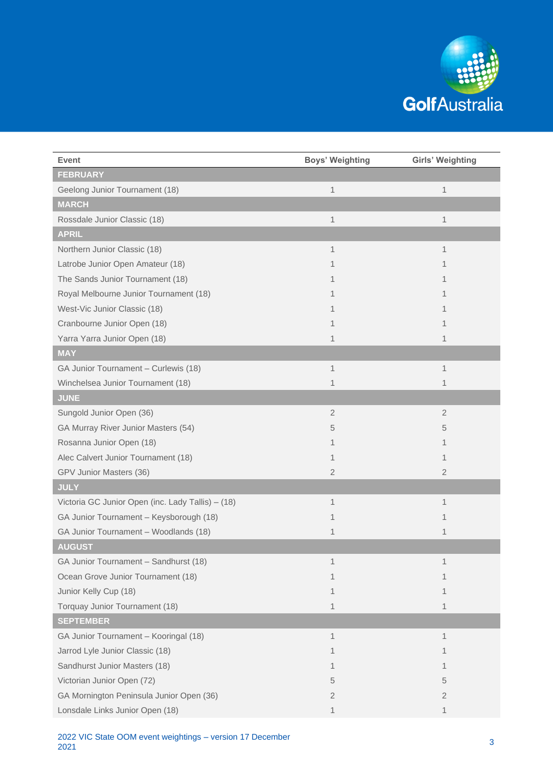

| <b>Event</b>                                      | <b>Boys' Weighting</b> | Girls' Weighting |
|---------------------------------------------------|------------------------|------------------|
| <b>FEBRUARY</b>                                   |                        |                  |
| Geelong Junior Tournament (18)                    | $\mathbf 1$            | $\mathbf{1}$     |
| <b>MARCH</b>                                      |                        |                  |
| Rossdale Junior Classic (18)                      | $\mathbf 1$            | 1                |
| <b>APRIL</b>                                      |                        |                  |
| Northern Junior Classic (18)                      | 1                      | 1                |
| Latrobe Junior Open Amateur (18)                  | 1                      | 1                |
| The Sands Junior Tournament (18)                  |                        | 1                |
| Royal Melbourne Junior Tournament (18)            | 1                      | 1                |
| West-Vic Junior Classic (18)                      | 1                      | 1                |
| Cranbourne Junior Open (18)                       | 1                      | 1                |
| Yarra Yarra Junior Open (18)                      | 1                      | 1                |
| <b>MAY</b>                                        |                        |                  |
| GA Junior Tournament - Curlewis (18)              | 1                      | 1                |
| Winchelsea Junior Tournament (18)                 | 1                      | 1                |
| <b>JUNE</b>                                       |                        |                  |
| Sungold Junior Open (36)                          | $\overline{2}$         | $\overline{2}$   |
| GA Murray River Junior Masters (54)               | 5                      | 5                |
| Rosanna Junior Open (18)                          | 1                      | 1                |
| Alec Calvert Junior Tournament (18)               | 1                      | 1                |
| GPV Junior Masters (36)                           | 2                      | $\overline{2}$   |
| <b>JULY</b>                                       |                        |                  |
| Victoria GC Junior Open (inc. Lady Tallis) - (18) | 1                      | 1                |
| GA Junior Tournament - Keysborough (18)           | 1                      | 1                |
| GA Junior Tournament - Woodlands (18)             | 1                      | 1                |
| <b>AUGUST</b>                                     |                        |                  |
| GA Junior Tournament - Sandhurst (18)             | 1                      | 1                |
| Ocean Grove Junior Tournament (18)                | 1                      | 1                |
| Junior Kelly Cup (18)                             | 1                      | 1                |
| Torquay Junior Tournament (18)                    | 1                      | 1                |
| <b>SEPTEMBER</b>                                  |                        |                  |
| GA Junior Tournament - Kooringal (18)             | 1                      | 1                |
| Jarrod Lyle Junior Classic (18)                   | 1                      | 1                |
| Sandhurst Junior Masters (18)                     | 1                      | 1                |
| Victorian Junior Open (72)                        | 5                      | 5                |
| GA Mornington Peninsula Junior Open (36)          | 2                      | $\overline{2}$   |
| Lonsdale Links Junior Open (18)                   | 1                      | 1                |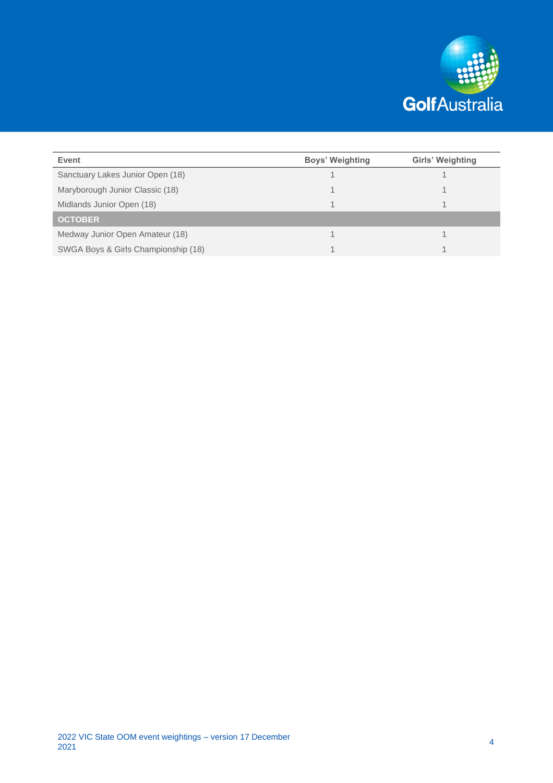

| Event                               | <b>Boys' Weighting</b> | Girls' Weighting |
|-------------------------------------|------------------------|------------------|
| Sanctuary Lakes Junior Open (18)    |                        |                  |
| Maryborough Junior Classic (18)     |                        |                  |
| Midlands Junior Open (18)           |                        |                  |
| <b>OCTOBER</b>                      |                        |                  |
| Medway Junior Open Amateur (18)     |                        |                  |
| SWGA Boys & Girls Championship (18) |                        |                  |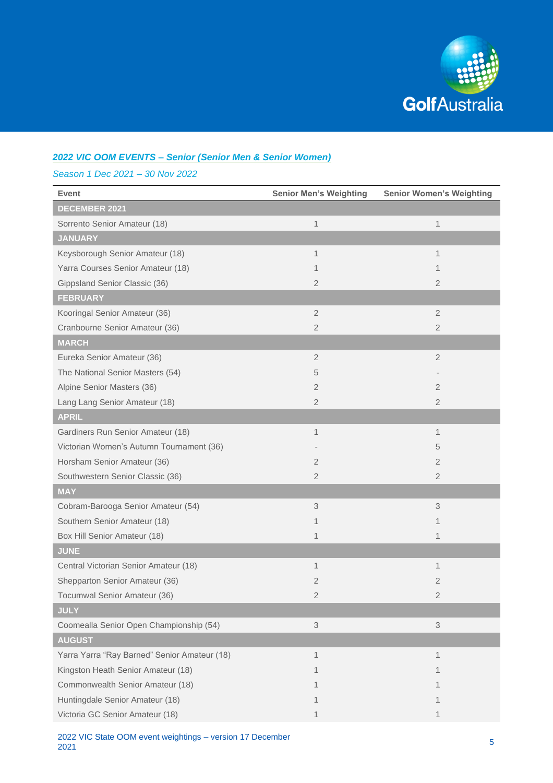

## *2022 VIC OOM EVENTS – Senior (Senior Men & Senior Women)*

*Season 1 Dec 2021 – 30 Nov 2022*

| <b>Event</b>                                 | <b>Senior Men's Weighting</b> | <b>Senior Women's Weighting</b> |
|----------------------------------------------|-------------------------------|---------------------------------|
| <b>DECEMBER 2021</b>                         |                               |                                 |
| Sorrento Senior Amateur (18)                 | 1                             | 1                               |
| <b>JANUARY</b>                               |                               |                                 |
| Keysborough Senior Amateur (18)              | 1                             | 1                               |
| Yarra Courses Senior Amateur (18)            | 1                             | 1                               |
| Gippsland Senior Classic (36)                | 2                             | $\overline{2}$                  |
| <b>FEBRUARY</b>                              |                               |                                 |
| Kooringal Senior Amateur (36)                | $\overline{2}$                | $\overline{2}$                  |
| Cranbourne Senior Amateur (36)               | 2                             | $\overline{2}$                  |
| <b>MARCH</b>                                 |                               |                                 |
| Eureka Senior Amateur (36)                   | $\overline{2}$                | $\overline{2}$                  |
| The National Senior Masters (54)             | 5                             |                                 |
| Alpine Senior Masters (36)                   | $\overline{2}$                | $\overline{2}$                  |
| Lang Lang Senior Amateur (18)                | $\overline{2}$                | $\overline{2}$                  |
| <b>APRIL</b>                                 |                               |                                 |
| Gardiners Run Senior Amateur (18)            | 1                             | 1                               |
| Victorian Women's Autumn Tournament (36)     |                               | 5                               |
| Horsham Senior Amateur (36)                  | 2                             | $\overline{2}$                  |
| Southwestern Senior Classic (36)             | 2                             | $\overline{2}$                  |
| <b>MAY</b>                                   |                               |                                 |
| Cobram-Barooga Senior Amateur (54)           | 3                             | 3                               |
| Southern Senior Amateur (18)                 | 1                             | 1                               |
| Box Hill Senior Amateur (18)                 | 1                             | 1                               |
| <b>JUNE</b>                                  |                               |                                 |
| Central Victorian Senior Amateur (18)        | 1                             | 1                               |
| Shepparton Senior Amateur (36)               | 2                             | 2                               |
| Tocumwal Senior Amateur (36)                 | 2                             | $\overline{2}$                  |
| <b>JULY</b>                                  |                               |                                 |
| Coomealla Senior Open Championship (54)      | 3                             | 3                               |
| <b>AUGUST</b>                                |                               |                                 |
| Yarra Yarra "Ray Barned" Senior Amateur (18) | 1                             | 1                               |
| Kingston Heath Senior Amateur (18)           |                               | 1                               |
| Commonwealth Senior Amateur (18)             |                               |                                 |
| Huntingdale Senior Amateur (18)              |                               | 1                               |
| Victoria GC Senior Amateur (18)              |                               | 1                               |